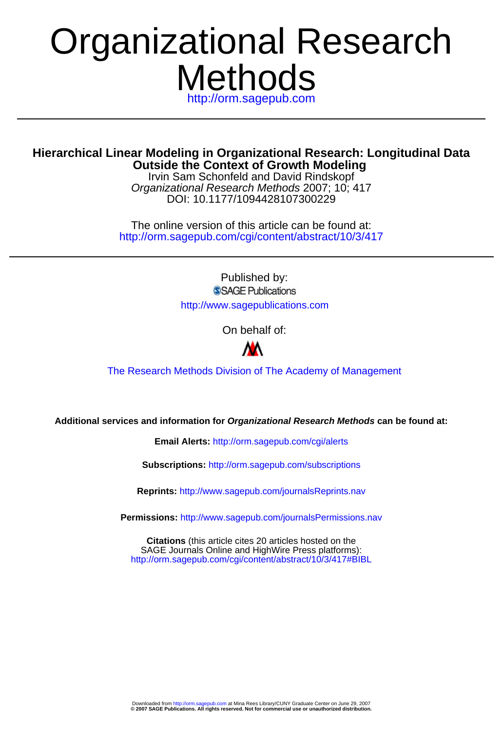# **Methods** http://orm.sagepub.com Organizational Research

## **Outside the Context of Growth Modeling Hierarchical Linear Modeling in Organizational Research: Longitudinal Data**

DOI: 10.1177/1094428107300229 Organizational Research Methods 2007; 10; 417 Irvin Sam Schonfeld and David Rindskopf

http://orm.sagepub.com/cgi/content/abstract/10/3/417 The online version of this article can be found at:

> Published by: SSAGE Publications http://www.sagepublications.com

> > On behalf of:



[The Research Methods Division of The Academy of Management](http://www.aom.pace.edu/rmd/)

**Additional services and information for Organizational Research Methods can be found at:**

**Email Alerts:** <http://orm.sagepub.com/cgi/alerts>

**Subscriptions:** <http://orm.sagepub.com/subscriptions>

**Reprints:** <http://www.sagepub.com/journalsReprints.nav>

**Permissions:** <http://www.sagepub.com/journalsPermissions.nav>

<http://orm.sagepub.com/cgi/content/abstract/10/3/417#BIBL> SAGE Journals Online and HighWire Press platforms): **Citations** (this article cites 20 articles hosted on the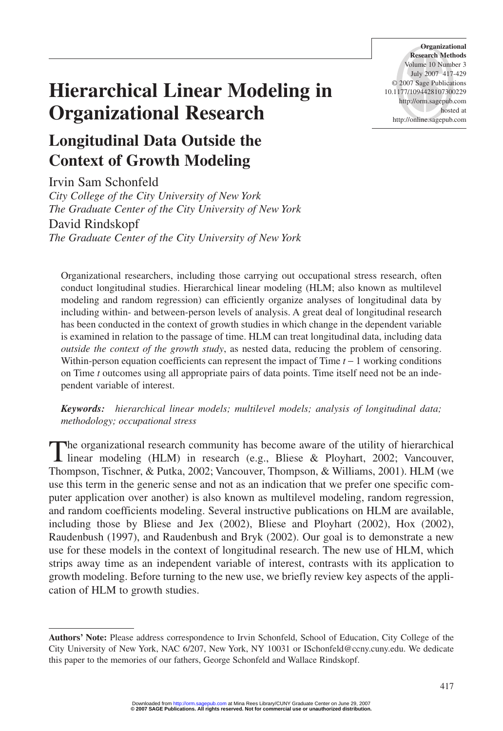## **Hierarchical Linear Modeling in Organizational Research**

## **Longitudinal Data Outside the Context of Growth Modeling**

Irvin Sam Schonfeld

*City College of the City University of New York The Graduate Center of the City University of New York* David Rindskopf *The Graduate Center of the City University of New York*

Organizational researchers, including those carrying out occupational stress research, often conduct longitudinal studies. Hierarchical linear modeling (HLM; also known as multilevel modeling and random regression) can efficiently organize analyses of longitudinal data by including within- and between-person levels of analysis. A great deal of longitudinal research has been conducted in the context of growth studies in which change in the dependent variable is examined in relation to the passage of time. HLM can treat longitudinal data, including data *outside the context of the growth study*, as nested data, reducing the problem of censoring. Within-person equation coefficients can represent the impact of Time *t* − 1 working conditions on Time *t* outcomes using all appropriate pairs of data points. Time itself need not be an independent variable of interest.

*Keywords: hierarchical linear models; multilevel models; analysis of longitudinal data; methodology; occupational stress*

The organizational research community has become aware of the utility of hierarchical<br>linear modeling (HLM) in research (e.g., Bliese & Ployhart, 2002; Vancouver, Thompson, Tischner, & Putka, 2002; Vancouver, Thompson, & Williams, 2001). HLM (we use this term in the generic sense and not as an indication that we prefer one specific computer application over another) is also known as multilevel modeling, random regression, and random coefficients modeling. Several instructive publications on HLM are available, including those by Bliese and Jex (2002), Bliese and Ployhart (2002), Hox (2002), Raudenbush (1997), and Raudenbush and Bryk (2002). Our goal is to demonstrate a new use for these models in the context of longitudinal research. The new use of HLM, which strips away time as an independent variable of interest, contrasts with its application to growth modeling. Before turning to the new use, we briefly review key aspects of the application of HLM to growth studies.

**Organizational Research Methods** Volume 10 Number 3 July 2007 417-429 © 2007 Sage Publications 10.1177/1094428107300229 http://orm.sagepub.com hosted at http://online.sagepub.com

**Authors' Note:** Please address correspondence to Irvin Schonfeld, School of Education, City College of the City University of New York, NAC 6/207, New York, NY 10031 or ISchonfeld@ccny.cuny.edu. We dedicate this paper to the memories of our fathers, George Schonfeld and Wallace Rindskopf.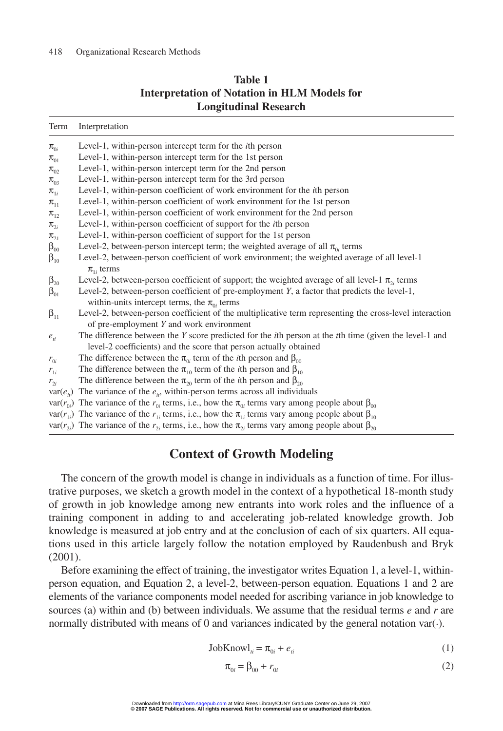| <b>Table 1</b>                                      |  |  |  |  |  |  |  |
|-----------------------------------------------------|--|--|--|--|--|--|--|
| <b>Interpretation of Notation in HLM Models for</b> |  |  |  |  |  |  |  |
| <b>Longitudinal Research</b>                        |  |  |  |  |  |  |  |

| Term                          | Interpretation                                                                                                                                                                              |
|-------------------------------|---------------------------------------------------------------------------------------------------------------------------------------------------------------------------------------------|
| $\pi_{0i}$                    | Level-1, within-person intercept term for the <i>i</i> th person                                                                                                                            |
| $\pi_{01}$                    | Level-1, within-person intercept term for the 1st person                                                                                                                                    |
| $\pi_{02}$                    | Level-1, within-person intercept term for the 2nd person                                                                                                                                    |
| $\pi_{03}$                    | Level-1, within-person intercept term for the 3rd person                                                                                                                                    |
| $\pi_{\scriptscriptstyle 1i}$ | Level-1, within-person coefficient of work environment for the <i>i</i> th person                                                                                                           |
| $\pi_{11}$                    | Level-1, within-person coefficient of work environment for the 1st person                                                                                                                   |
| $\pi_{12}$                    | Level-1, within-person coefficient of work environment for the 2nd person                                                                                                                   |
| $\pi_{2i}$                    | Level-1, within-person coefficient of support for the <i>i</i> th person                                                                                                                    |
| $\pi_{21}$                    | Level-1, within-person coefficient of support for the 1st person                                                                                                                            |
| $\beta_{00}$                  | Level-2, between-person intercept term; the weighted average of all $\pi_{0i}$ terms                                                                                                        |
| $\beta_{10}$                  | Level-2, between-person coefficient of work environment; the weighted average of all level-1<br>$\pi_{1i}$ terms                                                                            |
| $\beta_{20}$                  | Level-2, between-person coefficient of support; the weighted average of all level-1 $\pi_{2i}$ terms                                                                                        |
| $\beta_{01}$                  | Level-2, between-person coefficient of pre-employment Y, a factor that predicts the level-1,                                                                                                |
|                               | within-units intercept terms, the $\pi_{0i}$ terms                                                                                                                                          |
| $\beta_{11}$                  | Level-2, between-person coefficient of the multiplicative term representing the cross-level interaction<br>of pre-employment Y and work environment                                         |
| $e_{\rm ii}$                  | The difference between the Y score predicted for the <i>i</i> th person at the <i>t</i> th time (given the level-1 and<br>level-2 coefficients) and the score that person actually obtained |
| $r_{0i}$                      | The difference between the $\pi_{0i}$ term of the <i>i</i> th person and $\beta_{00}$                                                                                                       |
| $r_{1i}$                      | The difference between the $\pi_{10}$ term of the <i>i</i> th person and $\beta_{10}$                                                                                                       |
| $r_{2i}$                      | The difference between the $\pi_{20}$ term of the <i>i</i> th person and $\beta_{20}$                                                                                                       |
|                               | $var(e_{ii})$ The variance of the $e_{ii}$ , within-person terms across all individuals                                                                                                     |
|                               | var( $r_{0i}$ ) The variance of the $r_{0i}$ terms, i.e., how the $\pi_{0i}$ terms vary among people about $\beta_{00}$                                                                     |
|                               | var( $r_{1i}$ ) The variance of the $r_{1i}$ terms, i.e., how the $\pi_{1i}$ terms vary among people about $\beta_{10}$                                                                     |
|                               | var( $r_{\gamma i}$ ) The variance of the $r_{\gamma i}$ terms, i.e., how the $\pi_{\gamma i}$ terms vary among people about $\beta_{\gamma 0}$                                             |

## **Context of Growth Modeling**

The concern of the growth model is change in individuals as a function of time. For illustrative purposes, we sketch a growth model in the context of a hypothetical 18-month study of growth in job knowledge among new entrants into work roles and the influence of a training component in adding to and accelerating job-related knowledge growth. Job knowledge is measured at job entry and at the conclusion of each of six quarters. All equations used in this article largely follow the notation employed by Raudenbush and Bryk (2001).

Before examining the effect of training, the investigator writes Equation 1, a level-1, withinperson equation, and Equation 2, a level-2, between-person equation. Equations 1 and 2 are elements of the variance components model needed for ascribing variance in job knowledge to sources (a) within and (b) between individuals. We assume that the residual terms *e* and *r* are normally distributed with means of 0 and variances indicated by the general notation var(.).

$$
JobKnowl_{ii} = \pi_{0i} + e_{ii}
$$
 (1)

$$
\pi_{0i} = \beta_{00} + r_{0i} \tag{2}
$$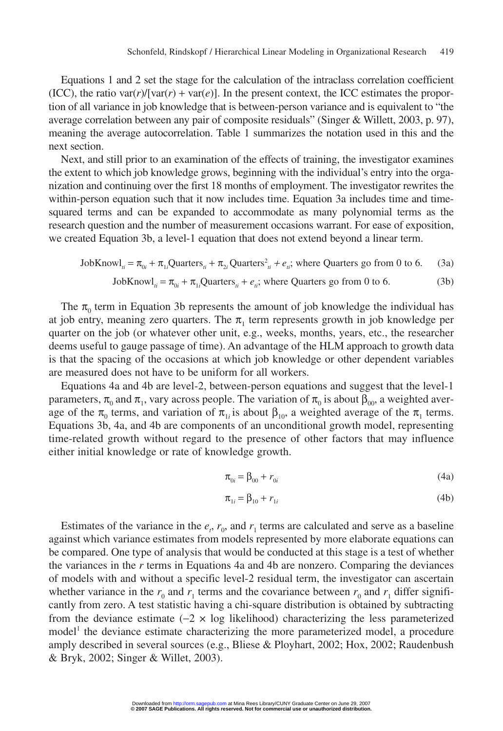Equations 1 and 2 set the stage for the calculation of the intraclass correlation coefficient (ICC), the ratio var $(r)/[\text{var}(r) + \text{var}(e)]$ . In the present context, the ICC estimates the proportion of all variance in job knowledge that is between-person variance and is equivalent to "the average correlation between any pair of composite residuals" (Singer & Willett, 2003, p. 97), meaning the average autocorrelation. Table 1 summarizes the notation used in this and the next section.

Next, and still prior to an examination of the effects of training, the investigator examines the extent to which job knowledge grows, beginning with the individual's entry into the organization and continuing over the first 18 months of employment. The investigator rewrites the within-person equation such that it now includes time. Equation 3a includes time and timesquared terms and can be expanded to accommodate as many polynomial terms as the research question and the number of measurement occasions warrant. For ease of exposition, we created Equation 3b, a level-1 equation that does not extend beyond a linear term.

JobKnow
$$
l_{ii} = \pi_{0i} + \pi_{1i}
$$
Quarter $s_{ii} + \pi_{2i}$  Quarterly $s_{ii} + e_{ii}$ ; where Quarterly go from 0 to 6. (3a)

JobKnow
$$
l_{ii} = \pi_{0i} + \pi_{1i}
$$
Quarter $s_{ii} + e_{ii}$ ; where Quarterly go from 0 to 6. (3b)

The  $\pi_0$  term in Equation 3b represents the amount of job knowledge the individual has at job entry, meaning zero quarters. The  $\pi_1$  term represents growth in job knowledge per quarter on the job (or whatever other unit, e.g., weeks, months, years, etc., the researcher deems useful to gauge passage of time). An advantage of the HLM approach to growth data is that the spacing of the occasions at which job knowledge or other dependent variables are measured does not have to be uniform for all workers.

Equations 4a and 4b are level-2, between-person equations and suggest that the level-1 parameters,  $\pi_0$  and  $\pi_1$ , vary across people. The variation of  $\pi_0$  is about  $\beta_{00}$ , a weighted average of the  $\pi_0$  terms, and variation of  $\pi_1$  is about  $\beta_{10}$ , a weighted average of the  $\pi_1$  terms. Equations 3b, 4a, and 4b are components of an unconditional growth model, representing time-related growth without regard to the presence of other factors that may influence either initial knowledge or rate of knowledge growth.

$$
\pi_{0i} = \beta_{00} + r_{0i} \tag{4a}
$$

$$
\pi_{1i} = \beta_{10} + r_{1i} \tag{4b}
$$

Estimates of the variance in the  $e_r$ ,  $r_0$ , and  $r_1$  terms are calculated and serve as a baseline against which variance estimates from models represented by more elaborate equations can be compared. One type of analysis that would be conducted at this stage is a test of whether the variances in the *r* terms in Equations 4a and 4b are nonzero. Comparing the deviances of models with and without a specific level-2 residual term, the investigator can ascertain whether variance in the  $r_0$  and  $r_1$  terms and the covariance between  $r_0$  and  $r_1$  differ significantly from zero. A test statistic having a chi-square distribution is obtained by subtracting from the deviance estimate  $(-2 \times \log \text{ likelihood})$  characterizing the less parameterized model<sup>1</sup> the deviance estimate characterizing the more parameterized model, a procedure amply described in several sources (e.g., Bliese & Ployhart, 2002; Hox, 2002; Raudenbush & Bryk, 2002; Singer & Willet, 2003).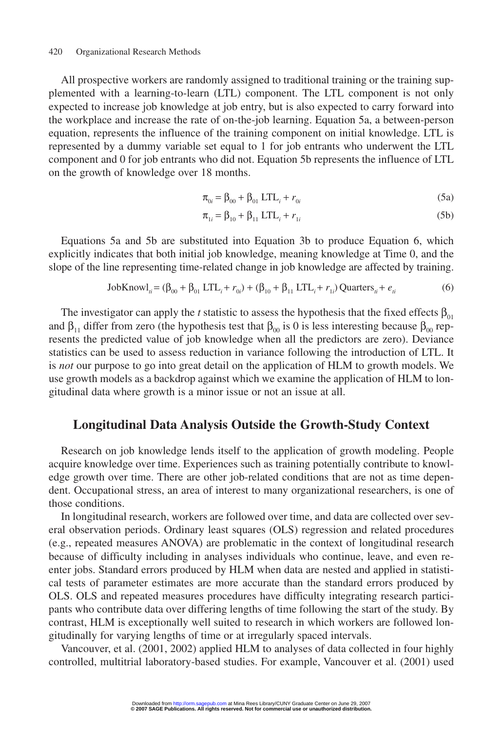#### 420 Organizational Research Methods

All prospective workers are randomly assigned to traditional training or the training supplemented with a learning-to-learn (LTL) component. The LTL component is not only expected to increase job knowledge at job entry, but is also expected to carry forward into the workplace and increase the rate of on-the-job learning. Equation 5a, a between-person equation, represents the influence of the training component on initial knowledge. LTL is represented by a dummy variable set equal to 1 for job entrants who underwent the LTL component and 0 for job entrants who did not. Equation 5b represents the influence of LTL on the growth of knowledge over 18 months.

$$
\pi_{0i} = \beta_{00} + \beta_{01} \, \text{LTL}_i + r_{0i} \tag{5a}
$$

$$
\pi_{1i} = \beta_{10} + \beta_{11} LTL_i + r_{1i}
$$
 (5b)

Equations 5a and 5b are substituted into Equation 3b to produce Equation 6, which explicitly indicates that both initial job knowledge, meaning knowledge at Time 0, and the slope of the line representing time-related change in job knowledge are affected by training.

$$
JobKnowl_{ii} = (\beta_{00} + \beta_{01} LTL_{i} + r_{0i}) + (\beta_{10} + \beta_{11} LTL_{i} + r_{1i}) Quarters_{ii} + e_{ii}
$$
 (6)

The investigator can apply the *t* statistic to assess the hypothesis that the fixed effects  $\beta_{01}$ and  $\beta_{11}$  differ from zero (the hypothesis test that  $\beta_{00}$  is 0 is less interesting because  $\beta_{00}$  represents the predicted value of job knowledge when all the predictors are zero). Deviance statistics can be used to assess reduction in variance following the introduction of LTL. It is *not* our purpose to go into great detail on the application of HLM to growth models. We use growth models as a backdrop against which we examine the application of HLM to longitudinal data where growth is a minor issue or not an issue at all.

#### **Longitudinal Data Analysis Outside the Growth-Study Context**

Research on job knowledge lends itself to the application of growth modeling. People acquire knowledge over time. Experiences such as training potentially contribute to knowledge growth over time. There are other job-related conditions that are not as time dependent. Occupational stress, an area of interest to many organizational researchers, is one of those conditions.

In longitudinal research, workers are followed over time, and data are collected over several observation periods. Ordinary least squares (OLS) regression and related procedures (e.g., repeated measures ANOVA) are problematic in the context of longitudinal research because of difficulty including in analyses individuals who continue, leave, and even reenter jobs. Standard errors produced by HLM when data are nested and applied in statistical tests of parameter estimates are more accurate than the standard errors produced by OLS. OLS and repeated measures procedures have difficulty integrating research participants who contribute data over differing lengths of time following the start of the study. By contrast, HLM is exceptionally well suited to research in which workers are followed longitudinally for varying lengths of time or at irregularly spaced intervals.

Vancouver, et al. (2001, 2002) applied HLM to analyses of data collected in four highly controlled, multitrial laboratory-based studies. For example, Vancouver et al. (2001) used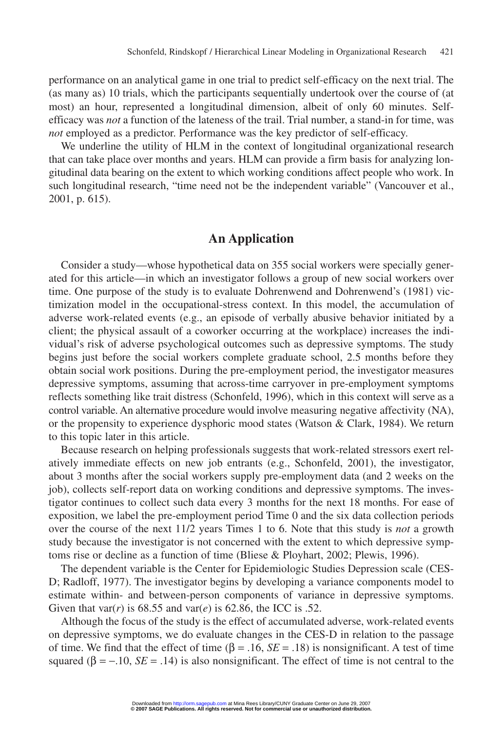performance on an analytical game in one trial to predict self-efficacy on the next trial. The (as many as) 10 trials, which the participants sequentially undertook over the course of (at most) an hour, represented a longitudinal dimension, albeit of only 60 minutes. Selfefficacy was *not* a function of the lateness of the trail. Trial number, a stand-in for time, was *not* employed as a predictor. Performance was the key predictor of self-efficacy.

We underline the utility of HLM in the context of longitudinal organizational research that can take place over months and years. HLM can provide a firm basis for analyzing longitudinal data bearing on the extent to which working conditions affect people who work. In such longitudinal research, "time need not be the independent variable" (Vancouver et al., 2001, p. 615).

## **An Application**

Consider a study—whose hypothetical data on 355 social workers were specially generated for this article—in which an investigator follows a group of new social workers over time. One purpose of the study is to evaluate Dohrenwend and Dohrenwend's (1981) victimization model in the occupational-stress context. In this model, the accumulation of adverse work-related events (e.g., an episode of verbally abusive behavior initiated by a client; the physical assault of a coworker occurring at the workplace) increases the individual's risk of adverse psychological outcomes such as depressive symptoms. The study begins just before the social workers complete graduate school, 2.5 months before they obtain social work positions. During the pre-employment period, the investigator measures depressive symptoms, assuming that across-time carryover in pre-employment symptoms reflects something like trait distress (Schonfeld, 1996), which in this context will serve as a control variable. An alternative procedure would involve measuring negative affectivity (NA), or the propensity to experience dysphoric mood states (Watson  $\&$  Clark, 1984). We return to this topic later in this article.

Because research on helping professionals suggests that work-related stressors exert relatively immediate effects on new job entrants (e.g., Schonfeld, 2001), the investigator, about 3 months after the social workers supply pre-employment data (and 2 weeks on the job), collects self-report data on working conditions and depressive symptoms. The investigator continues to collect such data every 3 months for the next 18 months. For ease of exposition, we label the pre-employment period Time 0 and the six data collection periods over the course of the next 11/2 years Times 1 to 6. Note that this study is *not* a growth study because the investigator is not concerned with the extent to which depressive symptoms rise or decline as a function of time (Bliese & Ployhart, 2002; Plewis, 1996).

The dependent variable is the Center for Epidemiologic Studies Depression scale (CES-D; Radloff, 1977). The investigator begins by developing a variance components model to estimate within- and between-person components of variance in depressive symptoms. Given that var( $r$ ) is 68.55 and var( $e$ ) is 62.86, the ICC is .52.

Although the focus of the study is the effect of accumulated adverse, work-related events on depressive symptoms, we do evaluate changes in the CES-D in relation to the passage of time. We find that the effect of time (β = .16, *SE* = .18) is nonsignificant. A test of time squared ( $\beta = -10$ , *SE* = .14) is also nonsignificant. The effect of time is not central to the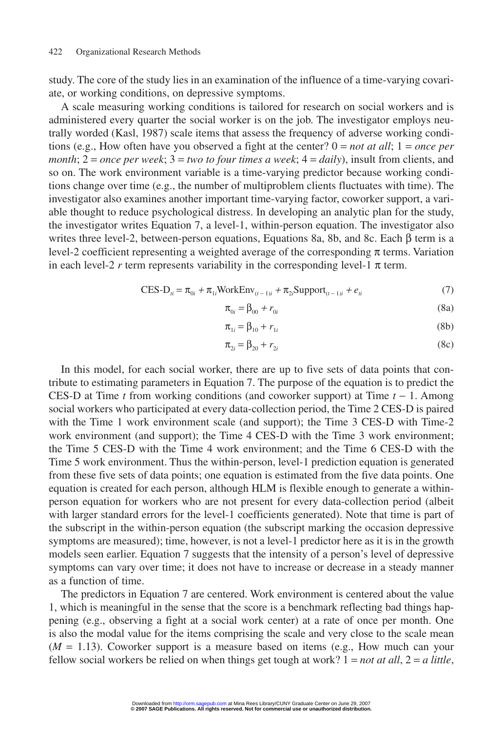study. The core of the study lies in an examination of the influence of a time-varying covariate, or working conditions, on depressive symptoms.

A scale measuring working conditions is tailored for research on social workers and is administered every quarter the social worker is on the job. The investigator employs neutrally worded (Kasl, 1987) scale items that assess the frequency of adverse working conditions (e.g., How often have you observed a fight at the center? 0 = *not at all*; 1 = *once per month*; 2 = *once per week*; 3 = *two to four times a week*; 4 = *daily*), insult from clients, and so on. The work environment variable is a time-varying predictor because working conditions change over time (e.g., the number of multiproblem clients fluctuates with time). The investigator also examines another important time-varying factor, coworker support, a variable thought to reduce psychological distress. In developing an analytic plan for the study, the investigator writes Equation 7, a level-1, within-person equation. The investigator also writes three level-2, between-person equations, Equations 8a, 8b, and 8c. Each  $\beta$  term is a level-2 coefficient representing a weighted average of the corresponding π terms. Variation in each level-2  $r$  term represents variability in the corresponding level-1  $\pi$  term.

$$
CES-D_{ii} = \pi_{0i} + \pi_{1i}WorkEnv_{(t-1)i} + \pi_{2i}Support_{(t-1)i} + e_{ti}
$$
 (7)

$$
\pi_{0i} = \beta_{00} + r_{0i} \tag{8a}
$$

$$
\pi_{1i} = \beta_{10} + r_{1i} \tag{8b}
$$

$$
\pi_{2i} = \beta_{20} + r_{2i} \tag{8c}
$$

In this model, for each social worker, there are up to five sets of data points that contribute to estimating parameters in Equation 7. The purpose of the equation is to predict the CES-D at Time *t* from working conditions (and coworker support) at Time *t* − 1. Among social workers who participated at every data-collection period, the Time 2 CES-D is paired with the Time 1 work environment scale (and support); the Time 3 CES-D with Time-2 work environment (and support); the Time 4 CES-D with the Time 3 work environment; the Time 5 CES-D with the Time 4 work environment; and the Time 6 CES-D with the Time 5 work environment. Thus the within-person, level-1 prediction equation is generated from these five sets of data points; one equation is estimated from the five data points. One equation is created for each person, although HLM is flexible enough to generate a withinperson equation for workers who are not present for every data-collection period (albeit with larger standard errors for the level-1 coefficients generated). Note that time is part of the subscript in the within-person equation (the subscript marking the occasion depressive symptoms are measured); time, however, is not a level-1 predictor here as it is in the growth models seen earlier. Equation 7 suggests that the intensity of a person's level of depressive symptoms can vary over time; it does not have to increase or decrease in a steady manner as a function of time.

The predictors in Equation 7 are centered. Work environment is centered about the value 1, which is meaningful in the sense that the score is a benchmark reflecting bad things happening (e.g., observing a fight at a social work center) at a rate of once per month. One is also the modal value for the items comprising the scale and very close to the scale mean  $(M = 1.13)$ . Coworker support is a measure based on items (e.g., How much can your fellow social workers be relied on when things get tough at work? 1 = *not at all*, 2 = *a little*,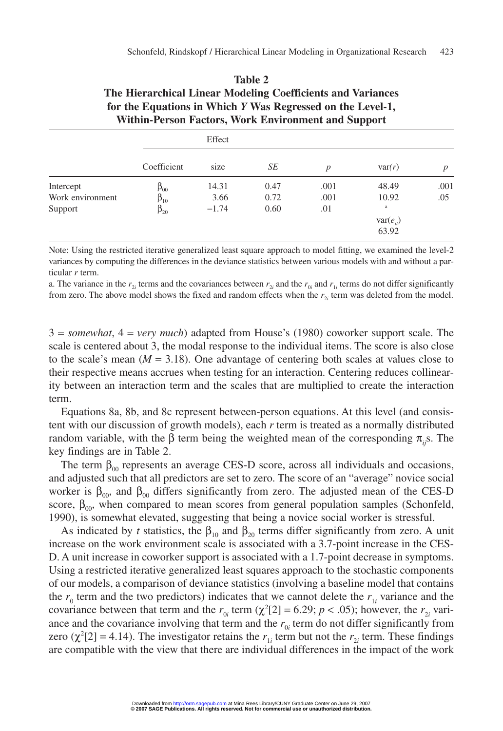| WILLIIII-FEISON FACLOIS, WOTK ENVITONMENT AND SUPPOTT |              |         |      |                  |              |                  |  |  |  |  |
|-------------------------------------------------------|--------------|---------|------|------------------|--------------|------------------|--|--|--|--|
|                                                       |              | Effect  |      |                  |              |                  |  |  |  |  |
|                                                       | Coefficient  | size    | SE   | $\boldsymbol{p}$ | var(r)       | $\boldsymbol{p}$ |  |  |  |  |
| Intercept                                             | $\beta_{00}$ | 14.31   | 0.47 | .001             | 48.49        | .001             |  |  |  |  |
| Work environment                                      | $\beta_{10}$ | 3.66    | 0.72 | .001             | 10.92        | .05              |  |  |  |  |
| Support                                               | $\beta_{20}$ | $-1.74$ | 0.60 | .01              | a            |                  |  |  |  |  |
|                                                       |              |         |      |                  | $var(e_{i})$ |                  |  |  |  |  |
|                                                       |              |         |      |                  | 63.92        |                  |  |  |  |  |

#### **Table 2 The Hierarchical Linear Modeling Coefficients and Variances for the Equations in Which** *Y* **Was Regressed on the Level-1,** Within-Person Factors, Work Environment and Support

Note: Using the restricted iterative generalized least square approach to model fitting, we examined the level-2 variances by computing the differences in the deviance statistics between various models with and without a particular *r* term.

a. The variance in the  $r_{2i}$  terms and the covariances between  $r_{2i}$  and the  $r_{0i}$  and  $r_{1i}$  terms do not differ significantly from zero. The above model shows the fixed and random effects when the  $r_{2i}$  term was deleted from the model.

3 = *somewhat*, 4 = *very much*) adapted from House's (1980) coworker support scale. The scale is centered about 3, the modal response to the individual items. The score is also close to the scale's mean  $(M = 3.18)$ . One advantage of centering both scales at values close to their respective means accrues when testing for an interaction. Centering reduces collinearity between an interaction term and the scales that are multiplied to create the interaction term.

Equations 8a, 8b, and 8c represent between-person equations. At this level (and consistent with our discussion of growth models), each *r* term is treated as a normally distributed random variable, with the β term being the weighted mean of the corresponding π*ij*s. The key findings are in Table 2.

The term  $\beta_{00}$  represents an average CES-D score, across all individuals and occasions, and adjusted such that all predictors are set to zero. The score of an "average" novice social worker is  $\beta_{00}$ , and  $\beta_{00}$  differs significantly from zero. The adjusted mean of the CES-D score,  $\beta_{00}$ , when compared to mean scores from general population samples (Schonfeld, 1990), is somewhat elevated, suggesting that being a novice social worker is stressful.

As indicated by *t* statistics, the  $\beta_{10}$  and  $\beta_{20}$  terms differ significantly from zero. A unit increase on the work environment scale is associated with a 3.7-point increase in the CES-D. A unit increase in coworker support is associated with a 1.7-point decrease in symptoms. Using a restricted iterative generalized least squares approach to the stochastic components of our models, a comparison of deviance statistics (involving a baseline model that contains the  $r_0$  term and the two predictors) indicates that we cannot delete the  $r_1$  variance and the covariance between that term and the  $r_{0i}$  term ( $\chi^2[2] = 6.29$ ;  $p < .05$ ); however, the  $r_{2i}$  variance and the covariance involving that term and the  $r_{0i}$  term do not differ significantly from zero ( $\chi^2[2] = 4.14$ ). The investigator retains the  $r_{1i}$  term but not the  $r_{2i}$  term. These findings are compatible with the view that there are individual differences in the impact of the work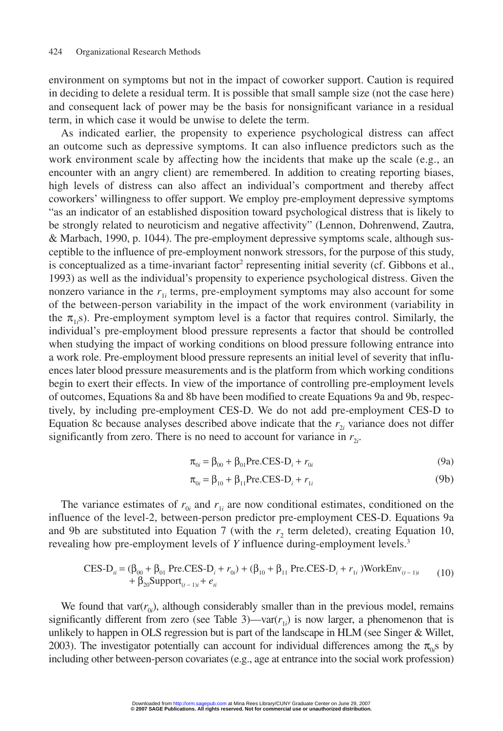environment on symptoms but not in the impact of coworker support. Caution is required in deciding to delete a residual term. It is possible that small sample size (not the case here) and consequent lack of power may be the basis for nonsignificant variance in a residual term, in which case it would be unwise to delete the term.

As indicated earlier, the propensity to experience psychological distress can affect an outcome such as depressive symptoms. It can also influence predictors such as the work environment scale by affecting how the incidents that make up the scale (e.g., an encounter with an angry client) are remembered. In addition to creating reporting biases, high levels of distress can also affect an individual's comportment and thereby affect coworkers' willingness to offer support. We employ pre-employment depressive symptoms "as an indicator of an established disposition toward psychological distress that is likely to be strongly related to neuroticism and negative affectivity" (Lennon, Dohrenwend, Zautra, & Marbach, 1990, p. 1044). The pre-employment depressive symptoms scale, although susceptible to the influence of pre-employment nonwork stressors, for the purpose of this study, is conceptualized as a time-invariant factor<sup>2</sup> representing initial severity (cf. Gibbons et al., 1993) as well as the individual's propensity to experience psychological distress. Given the nonzero variance in the  $r_{1i}$  terms, pre-employment symptoms may also account for some of the between-person variability in the impact of the work environment (variability in the  $\pi_{1i}$ s). Pre-employment symptom level is a factor that requires control. Similarly, the individual's pre-employment blood pressure represents a factor that should be controlled when studying the impact of working conditions on blood pressure following entrance into a work role. Pre-employment blood pressure represents an initial level of severity that influences later blood pressure measurements and is the platform from which working conditions begin to exert their effects. In view of the importance of controlling pre-employment levels of outcomes, Equations 8a and 8b have been modified to create Equations 9a and 9b, respectively, by including pre-employment CES-D. We do not add pre-employment CES-D to Equation 8c because analyses described above indicate that the  $r_{2i}$  variance does not differ significantly from zero. There is no need to account for variance in  $r_{2i}$ .

$$
\pi_{0i} = \beta_{00} + \beta_{01} \text{Pre.CES-D}_i + r_{0i} \tag{9a}
$$

$$
\pi_{0i} = \beta_{10} + \beta_{11} \text{Pre.CES-D}_i + r_{1i} \tag{9b}
$$

The variance estimates of  $r_{0i}$  and  $r_{1i}$  are now conditional estimates, conditioned on the influence of the level-2, between-person predictor pre-employment CES-D. Equations 9a and 9b are substituted into Equation 7 (with the  $r<sub>2</sub>$  term deleted), creating Equation 10, revealing how pre-employment levels of *Y* influence during-employment levels.3

$$
CES-Dii = (β00 + β01 Pre.CES-Di + r0i) + (β10 + β11 Pre.CES-Di + r1i)WorkEnv(t-1)i + β20Support(t-1)i + eii
$$
\n(10)

We found that var $(r_{0i})$ , although considerably smaller than in the previous model, remains significantly different from zero (see Table 3)—var $(r_{1i})$  is now larger, a phenomenon that is unlikely to happen in OLS regression but is part of the landscape in HLM (see Singer & Willet, 2003). The investigator potentially can account for individual differences among the  $\pi_{0i}$ s by including other between-person covariates (e.g., age at entrance into the social work profession)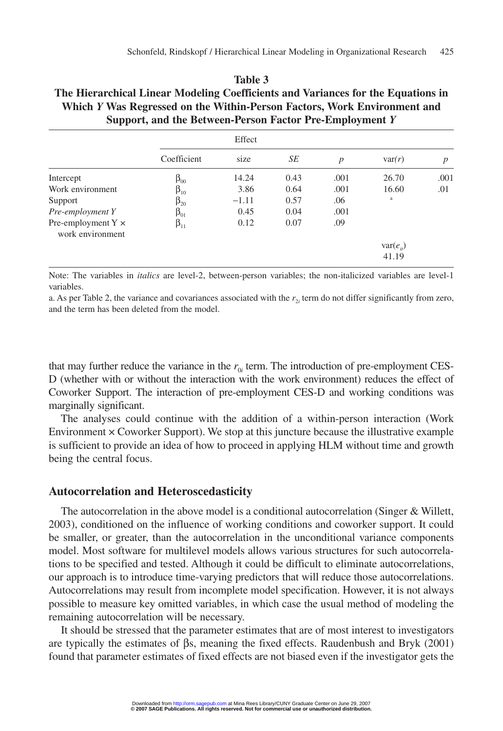#### **Table 3 The Hierarchical Linear Modeling Coefficients and Variances for the Equations in Which** *Y* **Was Regressed on the Within-Person Factors, Work Environment and Support, and the Between-Person Factor Pre-Employment** *Y*

|                                               | Coefficient  | size    | SE   | $\boldsymbol{p}$ | var(r)        | $\boldsymbol{p}$ |
|-----------------------------------------------|--------------|---------|------|------------------|---------------|------------------|
| Intercept                                     | $\beta_{00}$ | 14.24   | 0.43 | .001             | 26.70         | .001             |
| Work environment                              | $\beta_{10}$ | 3.86    | 0.64 | .001             | 16.60         | .01              |
| Support                                       | $\beta_{20}$ | $-1.11$ | 0.57 | .06              | a             |                  |
| Pre-employment Y                              | $\beta_{01}$ | 0.45    | 0.04 | .001             |               |                  |
| Pre-employment $Y \times$<br>work environment | $\beta_{11}$ | 0.12    | 0.07 | .09              |               |                  |
|                                               |              |         |      |                  | $var(e_{ii})$ |                  |
|                                               |              |         |      |                  | 41.19         |                  |

Note: The variables in *italics* are level-2, between-person variables; the non-italicized variables are level-1 variables.

a. As per Table 2, the variance and covariances associated with the  $r_{2i}$  term do not differ significantly from zero, and the term has been deleted from the model.

that may further reduce the variance in the  $r_0$  term. The introduction of pre-employment CES-D (whether with or without the interaction with the work environment) reduces the effect of Coworker Support. The interaction of pre-employment CES-D and working conditions was marginally significant.

The analyses could continue with the addition of a within-person interaction (Work Environment × Coworker Support). We stop at this juncture because the illustrative example is sufficient to provide an idea of how to proceed in applying HLM without time and growth being the central focus.

#### **Autocorrelation and Heteroscedasticity**

The autocorrelation in the above model is a conditional autocorrelation (Singer & Willett, 2003), conditioned on the influence of working conditions and coworker support. It could be smaller, or greater, than the autocorrelation in the unconditional variance components model. Most software for multilevel models allows various structures for such autocorrelations to be specified and tested. Although it could be difficult to eliminate autocorrelations, our approach is to introduce time-varying predictors that will reduce those autocorrelations. Autocorrelations may result from incomplete model specification. However, it is not always possible to measure key omitted variables, in which case the usual method of modeling the remaining autocorrelation will be necessary.

It should be stressed that the parameter estimates that are of most interest to investigators are typically the estimates of βs, meaning the fixed effects. Raudenbush and Bryk (2001) found that parameter estimates of fixed effects are not biased even if the investigator gets the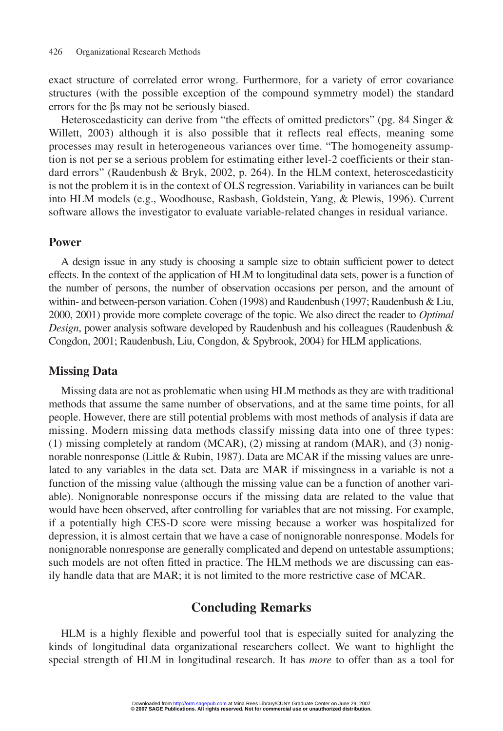exact structure of correlated error wrong. Furthermore, for a variety of error covariance structures (with the possible exception of the compound symmetry model) the standard errors for the βs may not be seriously biased.

Heteroscedasticity can derive from "the effects of omitted predictors" (pg. 84 Singer & Willett, 2003) although it is also possible that it reflects real effects, meaning some processes may result in heterogeneous variances over time. "The homogeneity assumption is not per se a serious problem for estimating either level-2 coefficients or their standard errors" (Raudenbush & Bryk, 2002, p. 264). In the HLM context, heteroscedasticity is not the problem it is in the context of OLS regression. Variability in variances can be built into HLM models (e.g., Woodhouse, Rasbash, Goldstein, Yang, & Plewis, 1996). Current software allows the investigator to evaluate variable-related changes in residual variance.

#### **Power**

A design issue in any study is choosing a sample size to obtain sufficient power to detect effects. In the context of the application of HLM to longitudinal data sets, power is a function of the number of persons, the number of observation occasions per person, and the amount of within- and between-person variation. Cohen (1998) and Raudenbush (1997; Raudenbush & Liu, 2000, 2001) provide more complete coverage of the topic. We also direct the reader to *Optimal Design*, power analysis software developed by Raudenbush and his colleagues (Raudenbush & Congdon, 2001; Raudenbush, Liu, Congdon, & Spybrook, 2004) for HLM applications.

#### **Missing Data**

Missing data are not as problematic when using HLM methods as they are with traditional methods that assume the same number of observations, and at the same time points, for all people. However, there are still potential problems with most methods of analysis if data are missing. Modern missing data methods classify missing data into one of three types: (1) missing completely at random (MCAR), (2) missing at random (MAR), and (3) nonignorable nonresponse (Little & Rubin, 1987). Data are MCAR if the missing values are unrelated to any variables in the data set. Data are MAR if missingness in a variable is not a function of the missing value (although the missing value can be a function of another variable). Nonignorable nonresponse occurs if the missing data are related to the value that would have been observed, after controlling for variables that are not missing. For example, if a potentially high CES-D score were missing because a worker was hospitalized for depression, it is almost certain that we have a case of nonignorable nonresponse. Models for nonignorable nonresponse are generally complicated and depend on untestable assumptions; such models are not often fitted in practice. The HLM methods we are discussing can easily handle data that are MAR; it is not limited to the more restrictive case of MCAR.

## **Concluding Remarks**

HLM is a highly flexible and powerful tool that is especially suited for analyzing the kinds of longitudinal data organizational researchers collect. We want to highlight the special strength of HLM in longitudinal research. It has *more* to offer than as a tool for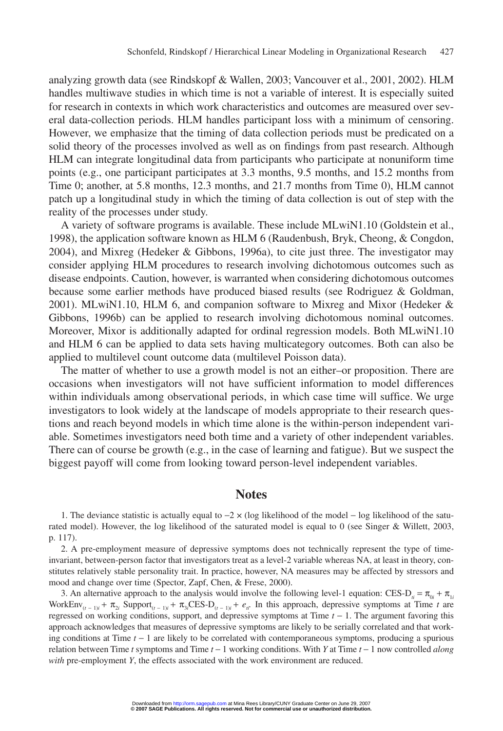analyzing growth data (see Rindskopf & Wallen, 2003; Vancouver et al., 2001, 2002). HLM handles multiwave studies in which time is not a variable of interest. It is especially suited for research in contexts in which work characteristics and outcomes are measured over several data-collection periods. HLM handles participant loss with a minimum of censoring. However, we emphasize that the timing of data collection periods must be predicated on a solid theory of the processes involved as well as on findings from past research. Although HLM can integrate longitudinal data from participants who participate at nonuniform time points (e.g., one participant participates at 3.3 months, 9.5 months, and 15.2 months from Time 0; another, at 5.8 months, 12.3 months, and 21.7 months from Time 0), HLM cannot patch up a longitudinal study in which the timing of data collection is out of step with the reality of the processes under study.

A variety of software programs is available. These include MLwiN1.10 (Goldstein et al., 1998), the application software known as HLM 6 (Raudenbush, Bryk, Cheong, & Congdon, 2004), and Mixreg (Hedeker & Gibbons, 1996a), to cite just three. The investigator may consider applying HLM procedures to research involving dichotomous outcomes such as disease endpoints. Caution, however, is warranted when considering dichotomous outcomes because some earlier methods have produced biased results (see Rodriguez & Goldman, 2001). MLwiN1.10, HLM 6, and companion software to Mixreg and Mixor (Hedeker & Gibbons, 1996b) can be applied to research involving dichotomous nominal outcomes. Moreover, Mixor is additionally adapted for ordinal regression models. Both MLwiN1.10 and HLM 6 can be applied to data sets having multicategory outcomes. Both can also be applied to multilevel count outcome data (multilevel Poisson data).

The matter of whether to use a growth model is not an either–or proposition. There are occasions when investigators will not have sufficient information to model differences within individuals among observational periods, in which case time will suffice. We urge investigators to look widely at the landscape of models appropriate to their research questions and reach beyond models in which time alone is the within-person independent variable. Sometimes investigators need both time and a variety of other independent variables. There can of course be growth (e.g., in the case of learning and fatigue). But we suspect the biggest payoff will come from looking toward person-level independent variables.

#### **Notes**

1. The deviance statistic is actually equal to −2 × (log likelihood of the model − log likelihood of the saturated model). However, the log likelihood of the saturated model is equal to 0 (see Singer & Willett, 2003, p. 117).

2. A pre-employment measure of depressive symptoms does not technically represent the type of timeinvariant, between-person factor that investigators treat as a level-2 variable whereas NA, at least in theory, constitutes relatively stable personality trait. In practice, however, NA measures may be affected by stressors and mood and change over time (Spector, Zapf, Chen, & Frese, 2000).

3. An alternative approach to the analysis would involve the following level-1 equation: CES-D<sub>*i*</sub> =  $\pi_{0i}$  +  $\pi_{1i}$ WorkEnv<sub>(*t* − 1)*i* +  $\pi_{2i}$  Support<sub>(*t* − 1)*i*</sub> +  $\pi_{3i}$ CES-D<sub>(*t* − 1)*i* +  $e_{ii}$ . In this approach, depressive symptoms at Time *t* are</sub></sub> regressed on working conditions, support, and depressive symptoms at Time *t* − 1. The argument favoring this approach acknowledges that measures of depressive symptoms are likely to be serially correlated and that working conditions at Time *t* − 1 are likely to be correlated with contemporaneous symptoms, producing a spurious relation between Time *t* symptoms and Time *t* − 1 working conditions. With *Y* at Time *t* − 1 now controlled *along with* pre-employment *Y*, the effects associated with the work environment are reduced.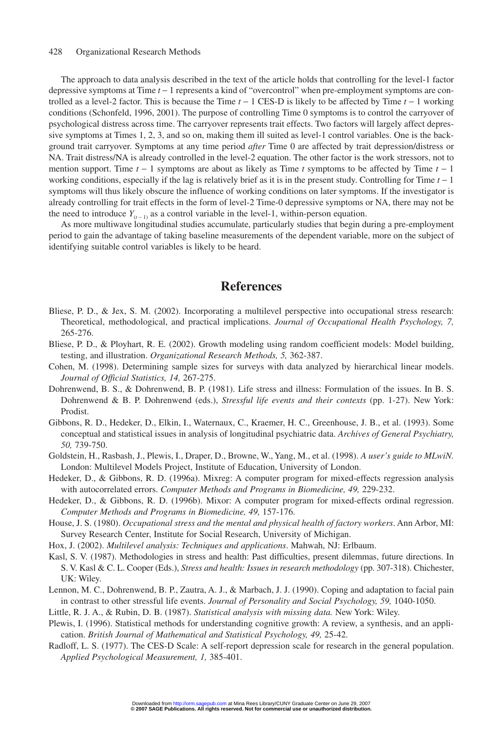#### 428 Organizational Research Methods

The approach to data analysis described in the text of the article holds that controlling for the level-1 factor depressive symptoms at Time *t* − 1 represents a kind of "overcontrol" when pre-employment symptoms are controlled as a level-2 factor. This is because the Time *t* − 1 CES-D is likely to be affected by Time *t* − 1 working conditions (Schonfeld, 1996, 2001). The purpose of controlling Time 0 symptoms is to control the carryover of psychological distress across time. The carryover represents trait effects. Two factors will largely affect depressive symptoms at Times 1, 2, 3, and so on, making them ill suited as level-1 control variables. One is the background trait carryover. Symptoms at any time period *after* Time 0 are affected by trait depression/distress or NA. Trait distress/NA is already controlled in the level-2 equation. The other factor is the work stressors, not to mention support. Time *t* − 1 symptoms are about as likely as Time *t* symptoms to be affected by Time *t* − 1 working conditions, especially if the lag is relatively brief as it is in the present study. Controlling for Time *t* − 1 symptoms will thus likely obscure the influence of working conditions on later symptoms. If the investigator is already controlling for trait effects in the form of level-2 Time-0 depressive symptoms or NA, there may not be the need to introduce  $Y_{(t-1)}$  as a control variable in the level-1, within-person equation.

As more multiwave longitudinal studies accumulate, particularly studies that begin during a pre-employment period to gain the advantage of taking baseline measurements of the dependent variable, more on the subject of identifying suitable control variables is likely to be heard.

### **References**

- Bliese, P. D., & Jex, S. M. (2002). Incorporating a multilevel perspective into occupational stress research: Theoretical, methodological, and practical implications. *Journal of Occupational Health Psychology, 7,* 265-276.
- Bliese, P. D., & Ployhart, R. E. (2002). Growth modeling using random coefficient models: Model building, testing, and illustration. *Organizational Research Methods, 5,* 362-387.
- Cohen, M. (1998). Determining sample sizes for surveys with data analyzed by hierarchical linear models. *Journal of Official Statistics, 14,* 267-275.
- Dohrenwend, B. S., & Dohrenwend, B. P. (1981). Life stress and illness: Formulation of the issues. In B. S. Dohrenwend & B. P. Dohrenwend (eds.), *Stressful life events and their contexts* (pp. 1-27). New York: Prodist.
- Gibbons, R. D., Hedeker, D., Elkin, I., Waternaux, C., Kraemer, H. C., Greenhouse, J. B., et al. (1993). Some conceptual and statistical issues in analysis of longitudinal psychiatric data. *Archives of General Psychiatry, 50,* 739-750.
- Goldstein, H., Rasbash, J., Plewis, I., Draper, D., Browne, W., Yang, M., et al. (1998). *A user's guide to MLwiN.* London: Multilevel Models Project, Institute of Education, University of London.
- Hedeker, D., & Gibbons, R. D. (1996a). Mixreg: A computer program for mixed-effects regression analysis with autocorrelated errors. *Computer Methods and Programs in Biomedicine, 49,* 229-232.
- Hedeker, D., & Gibbons, R. D. (1996b). Mixor: A computer program for mixed-effects ordinal regression. *Computer Methods and Programs in Biomedicine, 49,* 157-176.
- House, J. S. (1980). *Occupational stress and the mental and physical health of factory workers*. Ann Arbor, MI: Survey Research Center, Institute for Social Research, University of Michigan.
- Hox, J. (2002). *Multilevel analysis: Techniques and applications*. Mahwah, NJ: Erlbaum.
- Kasl, S. V. (1987). Methodologies in stress and health: Past difficulties, present dilemmas, future directions. In S. V. Kasl & C. L. Cooper (Eds.), *Stress and health: Issues in research methodology* (pp. 307-318). Chichester, UK: Wiley.
- Lennon, M. C., Dohrenwend, B. P., Zautra, A. J., & Marbach, J. J. (1990). Coping and adaptation to facial pain in contrast to other stressful life events. *Journal of Personality and Social Psychology, 59,* 1040-1050.
- Little, R. J. A., & Rubin, D. B. (1987). *Statistical analysis with missing data.* New York: Wiley.
- Plewis, I. (1996). Statistical methods for understanding cognitive growth: A review, a synthesis, and an application. *British Journal of Mathematical and Statistical Psychology, 49,* 25-42.
- Radloff, L. S. (1977). The CES-D Scale: A self-report depression scale for research in the general population. *Applied Psychological Measurement, 1,* 385-401.